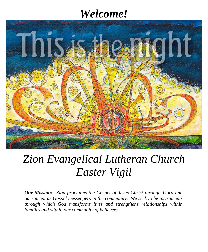# *Welcome!*



# *Zion Evangelical Lutheran Church Easter Vigil*

*Our Mission: Zion proclaims the Gospel of Jesus Christ through Word and Sacrament as Gospel messengers in the community. We seek to be instruments through which God transforms lives and strengthens relationships within families and within our community of believers.*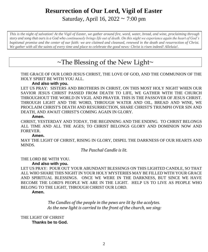## **Resurrection of Our Lord, Vigil of Easter**

Saturday, April 16,  $2022 \approx 7:00$  pm

*This is the night of salvation! At the Vigil of Easter, we gather around fire, word, water, bread, and wine, proclaiming through story and song that ours is a God who continuously brings life out of death. On this night we experience again the heart of God's baptismal promise and the center of our faith: we are claimed and cleansed, renewed in the death and resurrection of Christ. We gather with all the saints of every time and place to celebrate the good news: Christ is risen indeed! Alleluia!*.

## ~The Blessing of the New Light~

THE GRACE OF OUR LORD JESUS CHRIST, THE LOVE OF GOD, AND THE COMMUNION OF THE HOLY SPIRIT BE WITH YOU ALL.

### **And also with you.**

LET US PRAY: SISTERS AND BROTHERS IN CHRIST, ON THIS MOST HOLY NIGHT WHEN OUR SAVIOR JESUS CHRIST PASSED FROM DEATH TO LIFE, WE GATHER WITH THE CHURCH THROUGHOUT THE WORLD IN VIGIL AND PRAYER. THIS IS THE PASSOVER OF JESUS CHRIST. THROUGH LIGHT AND THE WORD, THROUGH WATER AND OIL, BREAD AND WINE, WE PROCLAIM CHRIST'S DEATH AND RESURRECTION, SHARE CHRIST'S TRIUMPH OVER SIN AND DEATH, AND AWAIT CHRIST'S COMING AGAIN IN GLORY.

### **Amen.**

CHRIST, YESTERDAY AND TODAY, THE BEGINNING AND THE ENDING. TO CHRIST BELONGS ALL TIME AND ALL THE AGES; TO CHRIST BELONGS GLORY AND DOMINION NOW AND FOREVER.

### **Amen.**

MAY THE LIGHT OF CHRIST, RISING IN GLORY, DISPEL THE DARKNESS OF OUR HEARTS AND **MINDS**.

*The Paschal Candle is lit.*

THE LORD BE WITH YOU.

### **And also with you.**

LET US PRAY: POUR OUT YOUR ABUNDANT BLESSINGS ON THIS LIGHTED CANDLE, SO THAT ALL WHO SHARE THIS NIGHT IN YOUR HOLY MYSTERIES MAY BE FILLED WITH YOUR GRACE AND SPIRITUAL BLESSINGS. ONCE WE WERE IN THE DARKNESS, BUT SINCE WE HAVE BECOME THE LORD'S PEOPLE WE ARE IN THE LIGHT. HELP US TO LIVE AS PEOPLE WHO BELONG TO THE LIGHT, THROUGH CHRIST OUR LORD.

### **Amen.**

*The Candles of the people in the pews are lit by the acolytes. As the new light is carried to the front of the church, we sing:*

THE LIGHT OF CHRIST **Thanks be to God.**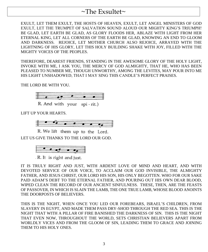## $\sim$ The Exsultet $\sim$

EXULT, LET THEM EXULT, THE HOSTS OF HEAVEN, EXULT, LET ANGEL MINISTERS OF GOD EXULT, LET THE TRUMPET OF SALVATION SOUND ALOUD OUR MIGHTY KING'S TRIUMPH! BE GLAD, LET EARTH BE GLAD, AS GLORY FLOODS HER, ABLAZE WITH LIGHT FROM HER ETERNAL KING, LET ALL CORNERS OF THE EARTH BE GLAD, KNOWING AN END TO GLOOM AND DARKNESS. REJOICE, LET MOTHER CHURCH ALSO REJOICE, ARRAYED WITH THE LIGHTNING OF HIS GLORY, LET THIS HOLY BUILDING SHAKE WITH JOY, FILLED WITH THE MIGHTY VOICES OF THE PEOPLES.

THEREFORE, DEAREST FRIENDS, STANDING IN THE AWESOME GLORY OF THE HOLY LIGHT, INVOKE WITH ME, I ASK YOU, THE MERCY OF GOD ALMIGHTY, THAT HE, WHO HAS BEEN PLEASED TO NUMBER ME, THOUGH UNWORTHY, AMONG THE LEVITES, MAY POUR INTO ME HIS LIGHT UNSHADOWED, THAT I MAY SING THIS CANDLE'S PERFECT PRAISES.

THE LORD BE WITH YOU.



R. And with your spi-rit.)

LIFT UP YOUR HEARTS.



R. We lift them up to the Lord. LET US GIVE THANKS TO THE LORD OUR GOD.



R. It is right and just.

IT IS TRULY RIGHT AND JUST, WITH ARDENT LOVE OF MIND AND HEART, AND WITH DEVOTED SERVICE OF OUR VOICE, TO ACCLAIM OUR GOD INVISIBLE, THE ALMIGHTY FATHER, AND JESUS CHRIST, OUR LORD HIS SON, HIS ONLY BEGOTTEN. WHO FOR OUR SAKE PAID ADAM'S DEBT TO THE ETERNAL FATHER, AND POURING OUT HIS OWN DEAR BLOOD, WIPED CLEAN THE RECORD OF OUR ANCIENT SINFULNESS. THESE, THEN, ARE THE FEASTS OF PASSOVER, IN WHICH IS SLAIN THE LAMB, THE ONE TRUE LAMB, WHOSE BLOOD ANOINTS THE DOORPOSTS OF BELIEVERS.

THIS IS THE NIGHT, WHEN ONCE YOU LED OUR FOREBEARS, ISRAEL'S CHILDREN, FROM SLAVERY IN EGYPT, AND MADE THEM PASS DRY-SHOD THROUGH THE RED SEA. THIS IS THE NIGHT THAT WITH A PILLAR OF FIRE BANISHED THE DARKNESS OF SIN. THIS IS THE NIGHT THAT EVEN NOW, THROUGHOUT THE WORLD, SETS CHRISTIAN BELIEVERS APART FROM WORLDLY VICES AND FROM THE GLOOM OF SIN, LEADING THEM TO GRACE AND JOINING THEM TO HIS HOLY ONES.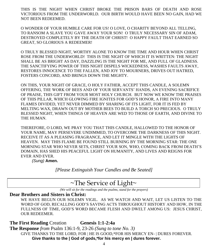THIS IS THE NIGHT WHEN CHRIST BROKE THE PRISON BARS OF DEATH AND ROSE VICTORIOUS FROM THE UNDERWORLD. OUR BIRTH WOULD HAVE BEEN NO GAIN, HAD WE NOT BEEN REDEEMED.

O WONDER OF YOUR HUMBLE CARE FOR US! O LOVE, O CHARITY BEYOND ALL TELLING, TO RANSOM A SLAVE YOU GAVE AWAY YOUR SON! O TRULY NECESSARY SIN OF ADAM, DESTROYED COMPLETELY BY THE DEATH OF CHRIST! O HAPPY FAULT THAT EARNED SO GREAT, SO GLORIOUS A REDEEMER!

O TRULY BLESSED NIGHT, WORTHY ALONE TO KNOW THE TIME AND HOUR WHEN CHRIST ROSE FROM THE UNDERWORLD! THIS IS THE NIGHT OF WHICH IT IS WRITTEN: THE NIGHT SHALL BE AS BRIGHT AS DAY, DAZZLING IS THE NIGHT FOR ME, AND FULL OF GLADNESS. THE SANCTIFYING POWER OF THIS NIGHT DISPELS WICKEDNESS, WASHES FAULTS AWAY, RESTORES INNOCENCE TO THE FALLEN, AND JOY TO MOURNERS, DRIVES OUT HATRED, FOSTERS CONCORD, AND BRINGS DOWN THE MIGHTY.

ON THIS, YOUR NIGHT OF GRACE, O HOLY FATHER, ACCEPT THIS CANDLE, A SOLEMN OFFERING, THE WORK OF BEES AND OF YOUR SERVANTS' HANDS, AN EVENING SACRIFICE OF PRAISE, THIS GIFT FROM YOUR MOST HOLY CHURCH. BUT NOW WE KNOW THE PRAISES OF THIS PILLAR, WHICH GLOWING FIRE IGNITES FOR GOD'S HONOR, A FIRE INTO MANY FLAMES DIVIDED, YET NEVER DIMMED BY SHARING OF ITS LIGHT, FOR IT IS FED BY MELTING WAX, DRAWN OUT BY MOTHER BEES TO BUILD A TORCH SO PRECIOUS. O TRULY BLESSED NIGHT, WHEN THINGS OF HEAVEN ARE WED TO THOSE OF EARTH, AND DIVINE TO THE HUMAN.

THEREFORE, O LORD, WE PRAY YOU THAT THIS CANDLE, HALLOWED TO THE HONOR OF YOUR NAME, MAY PERSEVERE UNDIMMED, TO OVERCOME THE DARKNESS OF THIS NIGHT. RECEIVE IT AS A PLEASING FRAGRANCE, AND LET IT MINGLE WITH THE LIGHTS OF HEAVEN. MAY THIS FLAME BE FOUND STILL BURNING BY THE MORNING STAR: THE ONE MORNING STAR WHO NEVER SETS, CHRIST YOUR SON, WHO, COMING BACK FROM DEATH'S DOMAIN, HAS SHED HIS PEACEFUL LIGHT ON HUMANITY, AND LIVES AND REIGNS FOR EVER AND EVER.

*(Sung)* **Amen.**

*[Please Extinguish Your Candles and Be Seated]*

## ~The Service of Light~

*(We will sit for the readings and the psalms, stand for the prayers)*

### **Dear Brothers and Sisters in Christ:**

WE HAVE BEGUN OUR SOLEMN VIGIL. AS WE WATCH AND WAIT, LET US LISTEN TO THE WORD OF GOD, RECALLING GOD'S SAVING ACTS THROUGHOUT HISTORY AND HOW, IN THE FULLNESS OF TIME, GOD'S WORD BECAME FLESH AND DWELT AMONG US: JESUS CHRIST, OUR REDEEMER.

**The First Reading** Creation **Genesis 1:1-2:4a**

**The Response** *from* Psalm 136:1-9, 23-26 *(Sung to tone No. 3)* GIVE THANKS TO THE LORD, FOR | HE IS GOOD,\*FOR HIS MERCY EN- | DURES FOREVER. **Give thanks to the | God of gods,\*for his mercy en | dures forever.**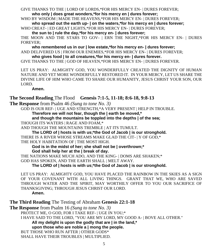GIVE THANKS TO THE | LORD OF LORDS,\*FOR HIS MERCY EN- | DURES FOREVER;

**who only | does great wonders,\*for his mercy en | dures forever;**

WHO BY WISDOM | MADE THE HEAVENS, \*FOR HIS MERCY EN- | DURES FOREVER;

**who spread out the earth up- | on the waters,\*for his mercy en | dures forever;**

WHO CREAT- | ED GREAT LIGHTS, \*FOR HIS MERCY EN- | DURES FOREVER;

**the sun to | rule the day,\*for his mercy en- | dures forever;**

THE MOON AND THE STARS TO GOV- | ERN THE NIGHT,\*FOR HIS MERCY EN- | DURES FOREVER;

**who remembered us in our | low estate,\*for his mercy en- | dures forever;**

AND DELIVERED US | FROM OUR ENEMIES,\*FOR HIS MERCY EN- | DURES FOREVER;

**who gives food | to all creatures,\*for his mercy en- | dures forever.**

GIVE THANKS TO THE | GOD OF HEAVEN,\*FOR HIS MERCY EN- | DURES FOREVER.

LET US PRAY: ALMIGHTY GOD, YOU WONDERFULLY CREATED THE DIGNITY OF HUMAN NATURE AND YET MORE WONDERFULLY RESTORED IT. IN YOUR MERCY, LET US SHARE THE DIVINE LIFE OF HIM WHO CAME TO SHARE OUR HUMANITY, JESUS CHRIST YOUR SON, OUR LORD.

**Amen.**

### **The Second Reading** The Flood **Genesis 7:1-5, 11-18; 8:6-18, 9:8-13**

**The Response** from Psalm 46 *(Sung to tone No. 3)*

GOD IS OUR REF- | UGE AND STRENGTH,\*A VERY PRESENT | HELP IN TROUBLE.

**Therefore we will not fear, though the | earth be moved,\***

**and though the mountains be toppled into the depths | of the sea;**

THOUGH ITS WATERS | RAGE AND FOAM,\*

AND THOUGH THE MOUNTAINS TREMBLE | AT ITS TUMULT.

**The LORD of | hosts is with us;\*the God of Jacob | is our stronghold.** THERE IS A RIVER WHOSE STREAMS MAKE GLAD THE CIT- | Y OF GOD,\* THE HOLY HABITATION OF | THE MOST HIGH.

**God is in the midst of her; she shall not be | overthrown;\***

**God shall help her at the | break of day.**

THE NATIONS MAKE MUCH ADO, AND THE KING- | DOMS ARE SHAKEN;\*

GOD HAS SPOKEN, AND THE EARTH SHALL | MELT AWAY.

**The LORD of | hosts is with us;\*the God of Jacob | is our stronghold.**

LET US PRAY: ALMIGHTY GOD, YOU HAVE PLACED THE RAINBOW IN THE SKIES AS A SIGN OF YOUR COVENANT WITH ALL LIVING THINGS. GRANT THAT WE, WHO ARE SAVED THROUGH WATER AND THE SPIRIT, MAY WORTHILY OFFER TO YOU OUR SACRIFICE OF THANKSGIVING; THROUGH JESUS CHRIST OUR LORD.

### **Amen.**

**The Third Reading** The Testing of Abraham **Genesis 22:1-18**

**The Response** from Psalm 16 *(Sung to tone No. 3)* PROTECT ME, O GOD, FOR I TAKE REF- | UGE IN YOU;\* I HAVE SAID TO THE LORD, "YOU ARE MY LORD, MY GOOD A- | BOVE ALL OTHER." **All my delight is upon the godly that are | in the land,\* upon those who are noble a | mong the people.** BUT THOSE WHO RUN AFTER | OTHER GODS\* SHALL HAVE THEIR TROUBLES | MULTIPLIED.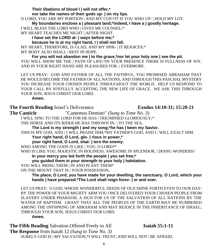**Their libations of blood I | will not offer,\***

**nor take the names of their gods up- | on my lips.** 

O LORD, YOU ARE MY PORTION | AND MY CUP;\*IT IS YOU WHO UP- | HOLD MY LOT.

**My boundaries enclose a | pleasant land;\*indeed, I have a | goodly heritage.**

I WILL BLESS THE LORD WHO | GIVES ME COUNSEL;\* MY HEART TEACHES ME NIGHT | AFTER NIGHT.

**I have set the LORD al- | ways before me;\***

**because he is at my right hand, I | shall not fall.** 

MY HEART, THEREFORE, IS GLAD, AND MY SPIR- | IT REJOICES;\*

MY BODY ALSO SHALL | REST IN HOPE.

**For you will not abandon me | to the grave,\*nor let your holy one | see the pit.** YOU WILL SHOW ME THE | PATH OF LIFE;\*IN YOUR PRESENCE THERE IS FULLNESS OF JOY, AND IN YOUR RIGHT HAND ARE PLEASURES FOR- | EVERMORE.

LET US PRAY: GOD AND FATHER OF ALL THE FAITHFUL, YOU PROMISED ABRAHAM THAT HE WOULD BECOME THE FATHER OF ALL NATIONS, AND THROUGH THIS PASCHAL MYSTERY YOU INCREASE YOUR CHOSEN PEOPLE THROUGHOUT THE WORLD. HELP US RESPOND TO YOUR CALL BY JOYFULLY ACCEPTING THE NEW LIFE OF GRACE. WE ASK THIS THROUGH YOUR SON, JESUS CHRIST OUR LORD.

**Amen.**

**The Fourth Reading** Israel's Deliverance **Exodus 14:10-31; 15:20-21**

**The Canticle** "Cantemus Domino" *(Sung to Tone No. 3)*

I WILL SING TO THE LORD FOR HE HAS | TRIUMPHED GLORIOUSLY;\*

THE HORSE AND ITS RIDER HE HAS THROWN IN- | TO THE SEA.

**The Lord is my strength | and my song;\*he has | been my Savior.**

THIS IS MY GOD, AND | I WILL PRAISE HIM,\*MY FATHER'S GOD, AND I | WILL EXALT HIM.

**Your right hand, O Lord, glo- | rious in power,\***

**your right hand, O Lord, shat- | ters the enemy.**

WHO AMONG THE GODS IS LIKE | YOU, O LORD?\*

WHO IS LIKE YOU, MAJESTIC IN HOLINESS, AWESOME IN SPLENDOR, | DOING WONDERS?

**In your mercy you led forth the people | you set free;\***

**you guided them in your strength to your holy | habitation.**

YOU WILL BRING THEM | IN AND PLANT THEM\*

ON THE MOUNT THAT IS | YOUR POSSESSION,

**The place, O Lord, you have made for your dwelling, the sanctuary, O Lord, which your hands | have prepared.\*The Lord shall reign forev- | er and ever.**

LET US PRAY: O GOD, WHOSE WONDERFUL DEEDS OF OLD SHINE FORTH EVEN TO OUR DAY: BY THE POWER OF YOUR MIGHTY ARM YOU ONCE DELIVERED YOUR CHOSEN PEOPLE FROM SLAVERY UNDER PHARAOH, A SIGN FOR US OF THE SALVATION OF ALL NATIONS BY THE WATER OF BAPTISM. GRANT THAT ALL THE PEOPLES OF THE EARTH MAY BE NUMBERED AMONG THE OFFSPRING OF ABRAHAM AND MAY REJOICE IN THE INHERITANCE OF ISRAEL; THROUGH YOUR SON, JESUS CHRIST OUR LORD.

**Amen.**

**The Fifth Reading** Salvation Offered Freely to All **Isaiah 55:1-11** 

**The Response** from Isaiah 12 *(Sung to Tone No. 3)* SURELY GOD IS | MY SALVATION;\*I WILL TRUST, AND WILL NOT | BE AFRAID,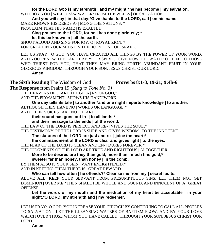**for the LORD GOD is my strength | and my might;\*he has become | my salvation.**  WITH JOY YOU | WILL DRAW WATER\*FROM THE WELLS | OF SALVATION.

**And you will say | in that day:\*Give thanks to the LORD, call | on his name;** MAKE KNOWN HIS DEEDS A- | MONG THE NATIONS; \* PROCLAIM THAT HIS NAME | IS EXALTED.

**Sing praises to the LORD, for he | has done gloriously; \* let this be known in | all the earth.**

SHOUT ALOUD AND SING FOR JOY, O | ROYAL ZION, \* FOR GREAT IN YOUR MIDST IS THE HOLY | ONE OF ISRAEL.

LET US PRAY: O GOD, YOU HAVE CREATED ALL THINGS BY THE POWER OF YOUR WORD, AND YOU RENEW THE EARTH BY YOUR SPIRIT. GIVE NOW THE WATER OF LIFE TO THOSE WHO THIRST FOR YOU, THAT THEY MAY BRING FORTH ABUNDANT FRUIT IN YOUR GLORIOUS KINGDOM; THROUGH YOUR SON, JESUS CHRIST OUR LORD. **Amen.** 

**The Sixth Reading** The Wisdom of God **Proverbs 8:1-8, 19-21; 9:4b-6**

**The Response** from Psalm 19 *(Sung to Tone No. 3)*

THE HEAVENS DECLARE THE GLO- | RY OF GOD,\*

AND THE FIRMAMENT | SHOWS HIS HANDIWORK.

**One day tells its tale | to another,\*and one night imparts knowledge | to another.** ALTHOUGH THEY HAVE NO | WORDS OR LANGUAGE,\*

AND THEIR VOICES | ARE NOT HEARD,

**their sound has gone out in- | to all lands,\* and their message to the ends | of the world.**

THE LAW OF THE LORD IS PERFECT AND RE- | VIVES THE SOUL;\*

THE TESTIMONY OF THE LORD IS SURE AND GIVES WISDOM | TO THE INNOCENT.

**The statutes of the LORD are just and re- | joice the heart;\***

**the commandment of the LORD is clear and gives light | to the eyes.**

THE FEAR OF THE LORD IS CLEAN AND EN- | DURES FOREVER;\*

THE JUDGMENTS OF THE LORD ARE TRUE AND RIGHTEOUS | ALTOGETHER.

**More to be desired are they than gold, more than | much fine gold,\***

**sweeter far than honey, than honey | in the comb.**

BY THEM ALSO IS YOUR SER- | VANT ENLIGHTENED,\*

AND IN KEEPING THEM THERE IS | GREAT REWARD.

**Who can tell how often | he offends?\* Cleanse me from my | secret faults.**

ABOVE ALL, KEEP YOUR SERVANT FROM PRESUMPTUOUS SINS; LET THEM NOT GET DOMINION | OVER ME;\*THEN SHALL I BE WHOLE AND SOUND, AND INNOCENT OF A | GREAT OFFENSE.

**Let the words of my mouth and the meditation of my heart be acceptable | in your sight,\*O LORD, my strength and | my redeemer.**

LET US PRAY: O GOD, YOU INCREASE YOUR CHURCH BY CONTINUING TO CALL ALL PEOPLES TO SALVATION. LET THE CLEANSING WATERS OF BAPTISM FLOW, AND BY YOUR LOVE WATCH OVER THOSE WHOM YOU HAVE CALLED; THROUGH YOUR SON, JESUS CHRIST OUR LORD.

**Amen.**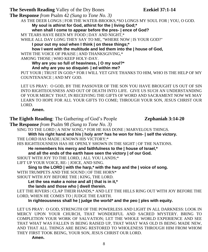**The Seventh Reading** Valley of the Dry Bones **Ezekiel 37:1-14**

**The Response** *from* Psalm 42 *(Sung to Tone No. 3)*

AS THE DEER LONGS | FOR THE WATER-BROOKS,\*SO LONGS MY SOUL FOR | YOU, O GOD.

**My soul is athirst for God, athirst for the | living God;\***

**when shall I come to appear before the pres- | ence of God?**

MY TEARS HAVE BEEN MY FOOD | DAY AND NIGHT,\*

WHILE ALL DAY LONG THEY SAY TO ME, "WHERE NOW | IS YOUR GOD?"

**I pour out my soul when I think | on these things;\***

**how I went with the multitude and led them into the | house of God,**

WITH THE VOICE OF PRAISE | AND THANKSGIVING,\*

AMONG THOSE | WHO KEEP HOLY-DAY.

**Why are you so full of heaviness, | O my soul?\***

**And why are you so disquiet- | ed within me?**

PUT YOUR | TRUST IN GOD;\* FOR I WILL YET GIVE THANKS TO HIM, WHO IS THE HELP OF MY COUNTENANCE | AND MY GOD.

LET US PRAY: O GOD, BY THE PASSOVER OF THE SON YOU HAVE BROUGHT US OUT OF SIN INTO RIGHTEOUSNESS AND OUT OF DEATH INTO LIFE. GIVE US SUCH AN UNDERSTANDING OF YOUR MERCY THAT, IN RECEIVING THE GIFTS OF WORD AND SACRAMENT NOW WE MAY LEARN TO HOPE FOR ALL YOUR GIFTS TO COME; THROUGH YOUR SON, JESUS CHRIST OUR LORD.

**Amen.** 

**The Eighth Reading:** The Gathering of God's People **Zephaniah 3:14-20** 

**The Response** *from* Psalm 98 *(Sung to Tone No. 3)*

SING TO THE LORD | A NEW SONG,\* FOR HE HAS DONE | MARVELOUS THINGS.

**With his right hand and his | holy arm\* has he won for him- | self the victory.** 

THE LORD HAS MADE | KNOWN HIS VICTORY;\*

HIS RIGHTEOUSNESS HAS HE OPENLY SHOWN IN THE SIGHT | OF THE NATIONS.

**He remembers his mercy and faithfulness to the | house of Israel,\***

**and all the ends of the earth have seen the victory | of our God.**

SHOUT WITH JOY TO THE LORD, | ALL YOU LANDS;\*

LIFT UP YOUR VOICE, RE- | JOICE, AND SING.

**Sing to the LORD | with the harp,\* with the harp and the | voice of song.** 

WITH TRUMPETS AND THE SOUND | OF THE HORN\*

SHOUT WITH JOY BEFORE THE | KING, THE LORD.

**Let the sea make a noise and all | that is in it,\*** 

**the lands and those who | dwell therein.**

LET THE RIVERS | CLAP THEIR HANDS,\* AND LET THE HILLS RING OUT WITH JOY BEFORE THE LORD, WHEN HE COMES TO | JUDGE THE EARTH.

**In righteousness shall he | judge the world\* and the peo | ples with equity.** 

LET US PRAY: O GOD, STRENGTH OF THE POWERLESS AND LIGHT IN ALL DARKNESS: LOOK IN MERCY UPON YOUR CHURCH, THAT WONDERFUL AND SACRED MYSTERY. BRING TO COMPLETION YOUR WORK OF SALVATION; LET THE WHOLE WORLD EXPERIENCE AND SEE THAT WHAT WAS FALLEN IS BEING RAISED UP, THAT WHAT WAS OLD IS BEING MADE NEW, AND THAT ALL THINGS ARE BEING RESTORED TO WHOLENESS THROUGH HIM FROM WHOM THEY FIRST TOOK BEING, YOUR SON, JESUS CHRIST OUR LORD.

**Amen.**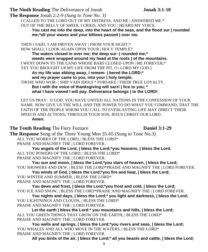**The Ninth Reading** The Deliverance of Jonah **Jonah 3:1-10**

**The Response** Jonah 2:2-9 *(Sung to Tone No. 3)*

I CALLED TO THE LORD OUT OF MY DISTRESS, AND HE | ANSWERED ME:\*

OUT OF THE BELLY OF SHEOL I CRIED, AND YOU | HEARD MY VOICE.

**You cast me into the deep, into the heart of the seas, and the flood sur | rounded me;\*all your waves and your billows passed | over me.** 

THEN I SAID, 'I AM DRIVEN AWAY | FROM YOUR SIGHT;\* HOW SHALL I LOOK AGAIN UPON YOUR | HOLY TEMPLE?'

**The waters closed in over me; the deep sur- | rounded me;\* weeds were wrapped around my head at the roots | of the mountains.** I WENT DOWN TO THE LAND WHOSE BARS CLOSED UPON | ME FOREVER;\* YET YOU BROUGHT UP MY LIFE FROM THE PIT, O | LORD MY GOD.]

**As my life was ebbing away, I remem- | bered the LORD;\***

**and my prayer came to you, into your | holy temple.**

THOSE WHO WOR- | SHIP VAIN IDOLS \* FORSAKE | THEIR TRUE LOYALTY.

**But I with the voice of thanksgiving will sacri | fice to you; \***

**what I have vowed I will pay. Deliverance belongs | to the LORD!** 

LET US PRAY: O GOD, YOU HAVE UNITED ALL NATIONS IN THE CONFESSION OF YOUR NAME. NOW GIVE US THE WILL AND THE POWER TO DO WHAT YOU COMMAND, THAT THE FAITH OF THE PEOPLE WHOM YOU CALL TO EVERLASTING LIFE MAY DIRECT THEIR SPEECH AND ACTIONS; THROUGH YOUR SON, JESUS CHRIST OUR LORD. **Amen.**

**The Tenth Reading** The Fiery Furnace **Daniel 3:1-29** 

**The Response** Song of the Three Young Men 35-65 (Sung to Tone No.3) ALL YOU WORKS OF THE LORD, | BLESS THE LORD\* PRAISE AND MAGNIFY THE | LORD FOREVER.

**You angels of the Lord, | bless the Lord;\*you heavens, | bless the Lord;** ALL YOU POWERS OF THE LORD, | BLESS THE LORD\* PRAISE AND MAGNIFY THE | LORD FOREVER.

**You sun and moon, | bless the Lord;\*you stars of heaven, | bless the Lord;** YOU SHOWERS AND DEW, | BLESS THE LORD\*PRAISE AND MAGNIFY THE | LORD FOREVER.

**You winds of God, | bless the Lord;\*you fire and heat, | bless the Lord;** YOU WINTER AND SUMMER, | BLESS THE LORD\*

PRAISE AND MAGNIFY THE | LORD FOREVER.

**You dews and frost, | bless the Lord;\*you frost and cold, | bless the Lord;** YOU ICE AND SNOW, | BLESS THE LORD\*PRAISE AND MAGNIFY THE | LORD FOREVER.

**You nights and days, | bless the Lord;\* you light and darkness, | bless the Lord;** YOU LIGHTNINGS AND CLOUDS, I BLESS THE LORD\*

PRAISE AND MAGNIFY THE | LORD FOREVER.

**Let the earth | bless the Lord:\* you mountains and hills, | bless the Lord;** ALL YOU GREEN THINGS THAT GROW ON THE EARTH, | BLESS THE LORD\* PRAISE AND MAGNIFY THE | LORD FOREVER.

**You wells and springs, | bless the Lord;\*you rivers and seas, | bless the Lord;** YOU WHALES AND ALL WHO MOVE IN THE WATERS, | BLESS THE LORD\* PRAISE AND MAGNIFY THE | LORD FOREVER.

**All you birds of the air, | bless the Lord;\* all you beasts and cattle, | bless the Lord;**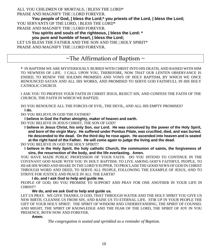ALL YOU CHILDREN OF MORTALS, | BLESS THE LORD\* PRAISE AND MAGNIFY THE | LORD FOREVER.

**You people of God, | bless the Lord;\* you priests of the Lord, | bless the Lord;** YOU SERVANTS OF THE LORD, | BLESS THE LORD\* PRAISE AND MAGNIFY THE | LORD FOREVER.

**You spirits and souls of the righteous, | bless the Lord: \* you pure and humble of heart, | bless the Lord;**

LET US BLESS THE FATHER AND THE SON AND THE | HOLY SPIRIT\* PRAISE AND MAGNIFY THE | LORD FOREVER.

## $\sim$ The Affirmation of Baptism  $\sim$

**\*** IN BAPTISM WE ARE MYSTERIOUSLY BURIED WITH CHRIST INTO HIS DEATH, AND RAISED WITH HIM TO NEWNESS OF LIFE. I CALL UPON YOU, THEREFORE, NOW THAT OUR LENTEN OBSERVANCE IS ENDED, TO RENEW THE SOLEMN PROMISES AND VOWS OF HOLY BAPTISM, BY WHICH WE ONCE RENOUNCED SATAN AND ALL HIS WORKS, AND PROMISED TO SERVE GOD FAITHFULL IN HIS HOLY CATHOLIC CHURCH.

I ASK YOU TO PROFESS YOUR FAITH IN CHRIST JESUS, REJECT SIN, AND CONFESS THE FAITH OF THE CHURCH, THE FAITH IN WHICH WE BAPTIZE.

DO YOU RENOUNCE ALL THE FORCES OF EVIL, THE DEVIL, AND ALL HIS EMPTY PROMISES? **I do.**

DO YOU BELIEVE IN GOD THE FATHER?

**I believe in God the Father almighty, maker of heaven and earth.**

DO YOU BELIEVE IN JESUS CHRIST, THE SON OF GOD?

**I believe in Jesus Christ, his only Son, our Lord. He was conceived by the power of the Holy Spirit, and born of the virgin Mary. He suffered under Pontius Pilate, was crucified, died, and was buried. He descended to the dead. On the third day he rose again. He ascended into heaven and is seated at the right hand of the Father. He will come again to judge the living and the dead.**

- DO YOU BELIEVE IN GOD THE HOLY SPIRIT?
	- **I believe in the Holy Spirit, the holy catholic Church, the communion of saints, the forgiveness of sins, the resurrection of the body, and the life everlasting. Amen.**

YOU HAVE MADE PUBLIC PROFESSION OF YOUR FAITH. DO YOU INTEND TO CONTINUE IN THE COVENANT GOD MADE WITH YOU IN HOLY BAPTISM: TO LIVE AMONG GOD'S FAITHFUL PEOPLE, TO HEAR HIS WORD AND SHARE IN THE LORD'S SUPPER, TO PROCLAIM THE GOOD NEWS OF GOD IN CHRIST THROUGH WORD AND DEED, TO SERVE ALL PEOPLE, FOLLOWING THE EXAMPLE OF JESUS, AND TO STRIVE FOR JUSTICE AND PEACE IN ALL THE EARTH?

### **I do, and I ask God to help and guide me.**

PEOPLE OF GOD, DO YOU PROMISE TO SUPPORT AND PRAY FOR ONE ANOTHER IN YOUR LIFE IN CHRIST?

### **We do, and we ask God to help and guide us.**

LET US PRAY. WE GIVE THANKS, O GOD, THAT THROUGH WATER AND THE HOLY SPIRIT YOU GIVE US NEW BIRTH, CLEANSE US FROM SIN, AND RAISE US TO ETERNAL LIFE. STIR UP IN YOUR PEOPLE THE GIFT OF YOUR HOLY SPIRIT: THE SPIRIT OF WISDOM AND UNDERSTANDING, THE SPIRIT OF COUNSEL AND MIGHT, THE SPIRIT OF KNOWLEDGE AND THE FEAR OF THE LORD, THE SPIRIT OF JOY IN YOU PRESENCE, BOTH NOW AND FOREVER.

### **Amen.**

*The congregation is seated and sprinkled as a reminder of Baptism.*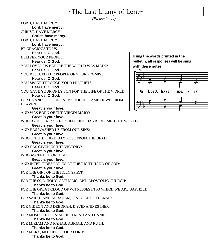## $\sim$  The Last Litany of Lent $\sim$

| (Please kneel)                                               |                           |
|--------------------------------------------------------------|---------------------------|
| LORD, HAVE MERCY.                                            |                           |
| Lord, have mercy.                                            |                           |
| CHRIST, HAVE MERCY                                           |                           |
| Christ, have mercy.                                          |                           |
| LORD, HAVE MERCY.                                            |                           |
| Lord, have mercy.                                            |                           |
| BE GRACIOUS TO US.                                           |                           |
| Hear us, O God.                                              |                           |
| DELIVER YOUR PEOPLE.                                         | Using the words printed   |
| Hear us, O God.                                              | bulletin, all responses w |
| YOU LOVED US BEFORE THE WORLD WAS MADE:                      | with these notes:         |
| Hear us, O God.                                              |                           |
| YOU RESCUED THE PEOPLE OF YOUR PROMISE:                      |                           |
| Hear us, O God.                                              |                           |
| YOU SPOKE THROUGH YOUR PROPHETS:                             |                           |
| Hear us, O God.                                              |                           |
| YOU GAVE YOUR ONLY SON FOR THE LIFE OF THE WORLD:            | Lord, have<br>o           |
| Hear us, O God.                                              |                           |
| FOR US AND FOR OUR SALVATION HE CAME DOWN FROM               |                           |
| <b>HEAVEN:</b>                                               |                           |
| Great is your love.                                          |                           |
| AND WAS BORN OF THE VIRGIN MARY:                             |                           |
| Great is your love.                                          |                           |
| WHO BY HIS CROSS AND SUFFERING HAS REDEEMED THE WORLD:       |                           |
| Great is your love.                                          |                           |
| AND HAS WASHED US FROM OUR SINS:                             |                           |
| Great is your love.                                          |                           |
| WHO ON THE THIRD DAY ROSE FROM THE DEAD:                     |                           |
| Great is your love.                                          |                           |
| AND HAS GIVEN US THE VICTORY:                                |                           |
| Great is your love.                                          |                           |
| WHO ASCENDED ON HIGH:                                        |                           |
| Great is your love.                                          |                           |
| AND INTERCEDES FOR US AT THE RIGHT HAND OF GOD:              |                           |
| Great is your love.                                          |                           |
| FOR THE GIFT OF THE HOLY SPIRIT:                             |                           |
| Thanks be to God.                                            |                           |
| FOR THE ONE, HOLY, CATHOLIC, AND APOSTOLIC CHURCH:           |                           |
| Thanks be to God.                                            |                           |
| FOR THE GREAT CLOUD OF WITNESSES INTO WHICH WE ARE BAPTIZED: |                           |
| Thanks be to God.                                            |                           |
| FOR SARAH AND ABRAHAM, ISAAC AND REBEKAH:                    |                           |
| Thanks be to God.                                            |                           |
| FOR GIDEON AND DEBORAH, DAVID AND ESTHER:                    |                           |
| Thanks be to God.                                            |                           |
| FOR MOSES AND ISAIAH, JEREMIAH AND DANIEL:                   |                           |
| Thanks be to God.                                            |                           |
| FOR MIRIAM AND RAHAB, ABIGAIL AND RUTH:                      |                           |
| Thanks be to God.                                            |                           |
| FOR MARY, MOTHER OF OUR LORD:                                |                           |
| Thanks be to God.                                            |                           |

**d** in the **be sung** 

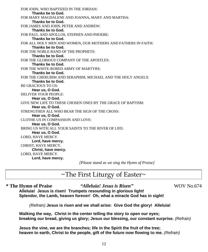FOR JOHN, WHO BAPTIZED IN THE JORDAN: **Thanks be to God.** FOR MARY MAGDALENE AND JOANNA, MARY AND MARTHA: **Thanks be to God.** FOR JAMES AND JOHN, PETER AND ANDREW: **Thanks be to God.** FOR PAUL AND APOLLOS, STEPHEN AND PHOEBE: **Thanks be to God.** FOR ALL HOLY MEN AND WOMEN, OUR MOTHERS AND FATHERS IN FAITH: **Thanks be to God.** FOR THE NOBLE BAND OF THE PROPHETS: **Thanks be to God.** FOR THE GLORIOUS COMPANY OF THE APOSTLES: **Thanks be to God.** FOR THE WHITE-ROBED ARMY OF MARTYRS: **Thanks be to God.** FOR THE CHERUBIM AND SERAPHIM, MICHAEL AND THE HOLY ANGELS: **Thanks be to God.** BE GRACIOUS TO US: **Hear us, O God.** DELIVER YOUR PEOPLE: **Hear us, O God.** GIVE NEW LIFE TO THESE CHOSEN ONES BY THE GRACE OF BAPTISM: **Hear us, O God.** STRENGTHEN ALL WHO BEAR THE SIGN OF THE CROSS: **Hear us, O God.** CLOTHE US IN COMPASSION AND LOVE: **Hear us, O God.** BRING US WITH ALL YOUR SAINTS TO THE RIVER OF LIFE: **Hear us, O God.** LORD, HAVE MERCY. **Lord, have mercy.** CHRIST, HAVE MERCY. **Christ, have mercy.** LORD, HAVE MERCY. **Lord, have mercy.**

*[Please stand as we sing the Hymn of Praise]*

## $\sim$ The First Liturgy of Easter $\sim$

**\* The Hymn of Praise** *"Alleluia! Jesus is Risen"* WOV No.674

**Alleluia! Jesus is risen! Trumpets resounding in glorious light! Splendor, the Lamb, heaven forever! Oh, what a miracle God has in sight!**

 *(Refrain)* **Jesus is risen and we shall arise: Give God the glory! Alleluia!**

**Walking the way, Christ in the center telling the story to open our eyes; breaking our bread, giving us glory; Jesus our blessing, our constant surprise.** *(Refrain)*

**Jesus the vine, we are the branches; life in the Spirit the fruit of the tree; heaven to earth, Christ to the people, gift of the future now flowing to me.** *(Refrain)*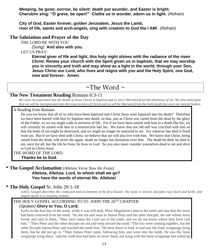**Weeping, be gone; sorrow, be silent: death put asunder, and Easter is bright. Cherubim sing: "O grave, be open!" Clothe us in wonder, adorn us in light.** *(Refrain)*

**City of God, Easter forever, golden Jerusalem, Jesus the Lamb, river of life, saints and arch-angels, sing with creation to God the I AM!** *(Refrain)*

### **The Salutation and Prayer of the Day**

THE LORD BE WITH YOU

*(Sung)* **And also with you.**

LET US PRAY:

**Eternal giver of life and light, this holy night shines with the radiance of the risen Christ. Renew your church with the Spirit given us in baptism, that we may worship you in sincerity and truth and may shine as a light in the world, through your Son, Jesus Christ our Lord, who lives and reigns with you and the Holy Spirit, one God, now and forever. Amen.**

## $\sim$ The Word  $\sim$

### **The New Testament Reading** Romans 6:3-11

*We were incorporated into the death of Jesus Christ in baptism and so were liberated from the dominion of sin. We also anticipate that we will be incorporated into the resurrection of Christ and so will be liberated from the hold death has over our mortal bodies.*

### A Reading from Romans

 Do you not know that all of us who have been baptized into Christ Jesus were baptized into his death? Therefore we have been buried with him by baptism into death, so that, just as Christ was raised from the dead by the glory of the Father, so we too might walk in newness of life. For if we have been united with him in a death like his, we will certainly be united with him in a resurrection like his. We know that our old self was crucified with him so that the body of sin might be destroyed, and we might no longer be enslaved to sin. For whoever has died is freed from sin. But if we have died with Christ, we believe that we will also live with him. We know that Christ, being raised from the dead, will never die again; death no longer has dominion over him. The death he died, he died to sin, once for all; but the life he lives, he lives to God. So you also must consider yourselves dead to sin and alive to God in Christ Jesus.

THE WORD OF THE LORD.  **Thanks be to God.**

### **\* The Gospel Acclamation** *(Alleluia Verse Now the Feast)* **Alleluia, Alleluia. Lord, to whom shall we go? You have the words of eternal life. Alleluia!**

### **\* The Holy Gospel** St. John 20:1-18

*John's Gospel describes the confusion and excitement of the first Easter: the stone is moved, disciples race back and forth, and angels speak to a weeping woman.*

### THE HOLY GOSPEL ACCORDING TO ST. JOHN THE 20TH CHAPTER  *(Spoken)* **Glory to You, O Lord.**

 Early on the first day of the week, while it was still dark, Mary Magdalene came to the tomb and saw that the stone had been removed from the tomb. <sup>2</sup>So she ran and went to Simon Peter and the other disciple, the one whom Jesus loved, and said to them, "They have taken the Lord out of the tomb, and we do not know where they have laid him." <sup>3</sup>Then Peter and the other disciple set out and went toward the tomb. <sup>4</sup>The two were running together, but the other disciple outran Peter and reached the tomb first. <sup>5</sup>He bent down to look in and saw the linen wrappings lying there, but he did not go in. <sup>6</sup>Then Simon Peter came, following him, and went into the tomb. He saw the linen wrappings lying there, <sup>7</sup> and the cloth that had been on Jesus' head, not lying with the linen wrappings but rolled up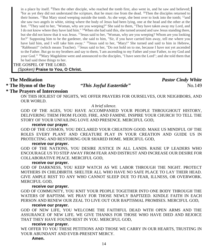in a place by itself. <sup>8</sup>Then the other disciple, who reached the tomb first, also went in, and he saw and believed; <sup>9</sup> for as yet they did not understand the scripture, that he must rise from the dead. <sup>10</sup>Then the disciples returned to their homes.  $11$ But Mary stood weeping outside the tomb. As she wept, she bent over to look into the tomb;  $12$ and she saw two angels in white, sitting where the body of Jesus had been lying, one at the head and the other at the feet. <sup>13</sup>They said to her, "Woman, why are you weeping?" She said to them, "They have taken away my Lord, and I do not know where they have laid him." <sup>14</sup>When she had said this, she turned around and saw Jesus standing there, but she did not know that it was Jesus. <sup>15</sup>Jesus said to her, "Woman, why are you weeping? Whom are you looking for?" Supposing him to be the gardener, she said to him, "Sir, if you have carried him away, tell me where you have laid him, and I will take him away." <sup>16</sup>Jesus said to her, "Mary!" She turned and said to him in Hebrew, "Rabbouni!" (which means Teacher). <sup>17</sup>Jesus said to her, "Do not hold on to me, because I have not yet ascended to the Father. But go to my brothers and say to them, 'I am ascending to my Father and your Father, to my God and your God.'" <sup>18</sup>Mary Magdalene went and announced to the disciples, "I have seen the Lord"; and she told them that he had said these things to her.

### THE GOSPEL OF THE LORD.  *(Spoken)* **Praise to You, O Christ.**

### **\* The Hymn of the Day** *"This Joyful Eastertide"* No*.*149

**The Meditation** *Pastor Cindy White*

### **\* The Prayers of Intercession**

ON THIS HOLIEST OF NIGHTS, WE OFFER PRAYERS FOR OURSELVES, OUR NEIGHBORS, AND OUR WORLD.

### *A brief silence.*

GOD OF THE AGES, YOU HAVE ACCOMPANIED YOUR PEOPLE THROUGHOUT HISTORY, DELIVERING THEM FROM FLOOD, FIRE, AND FAMINE. INSPIRE YOUR CHURCH TO TELL THE STORY OF YOUR UNFAILING LOVE AND PRESENCE. MERCIFUL GOD,

### **receive our prayer.**

GOD OF THE COSMOS, YOU DECLARED YOUR CREATION GOOD. MAKE US MINDFUL OF THE ROLES EVERY PLANT AND CREATURE PLAY IN YOUR CREATION AND GUIDE US IN PROTECTING AND RESTORING OUR SHARED HOME. MERCIFUL GOD,

### **receive our prayer.**

GOD OF THE NATIONS, YOU DESIRE JUSTICE IN ALL LANDS. RAISE UP LEADERS WHO ENCOURAGE US TO STEP AWAY FROM FEAR AND DISTRUST AND INCREASE OUR DESIRE FOR COLLABORATIVE PEACE. MERCIFUL GOD,

### **receive our prayer.**

GOD OF DARKNESS, YOU KEEP WATCH AS WE LABOR THROUGH THE NIGHT. PROTECT MOTHERS IN CHILDBIRTH. SHELTER ALL WHO HAVE NO SAFE PLACE TO LAY THEIR HEAD. GIVE AMPLE REST TO ANY WHO CANNOT SLEEP DUE TO FEAR, ILLNESS, OR OVERWORK. MERCIFUL GOD,

### **receive our prayer.**

GOD OF COMMUNITY, YOU KNIT YOUR PEOPLE TOGETHER INTO ONE BODY THROUGH THE WATERS OF BAPTISM. WE PRAY FOR THOSE NEWLY BAPTIZED. KINDLE FAITH IN EACH PERSON AND RENEW OUR ZEAL TO LIVE OUT OUR BAPTISMAL PROMISES. MERCIFUL GOD,

### **receive our prayer.**

GOD OF NEW LIFE, YOU WELCOME THE FAITHFUL DEAD WITH OPEN ARMS AND THE ASSURANCE OF NEW LIFE. WE GIVE THANKS FOR THOSE WHO HAVE DIED AND REJOICE THAT THEY HAVE FOUND REST IN YOU. MERCIFUL GOD,

### **receive our prayer.**

WE OFFER TO YOU THESE PETITIONS AND THOSE WE CARRY IN OUR HEARTS, TRUSTING IN YOUR ABUNDANT AND EVER-PRESENT MERCY.

### **Amen.**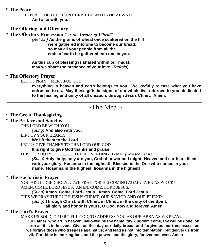### **\* The Peace**

THE PEACE OF THE RISEN CHRIST BE WITH YOU ALWAYS. **And also with you.**

### **The Offering and Offertory**

**\* The Offertory Procession** *"As the Grains of Wheat"*

*(Refrain)* **As the grains of wheat once scattered on the hill were gathered into one to become our bread; so may all your people from all the**  **ends of earth be gathered into one in you.**

**As this cup of blessing is shared within our midst, may we share the presence of your love.** *(Refrain)*

### \* **The Offertory Prayer**

LET US PRAY: MERCIFUL GOD,

**everything in heaven and earth belongs to you. We joyfully release what you have entrusted to us. May these gifts be signs of our whole live returned to you, dedicated to the healing and unity of all creation, through Jesus Christ. Amen.**

## **~**The Meal~

### \* **The Great Thanksgiving**

### \* **The Preface and Sanctus**

THE LORD BE WITH YOU

*(Sung)* **And also with you.**

LIFT UP YOUR HEARTS.

**We lift them to the Lord.**

LET US GIVE THANKS TO THE LORD OUR GOD.

**It is right to give God thanks and praise.**

IT IS OUR DUTY......................THEIR UNENDING HYMN: *(Now the Feast)*

*(Sung)* **Holy, holy, holy are you, God of power and might; Heaven and earth are filled with your glory. Hosanna in the highest! Blessed is the One who comes in your name. Hosanna in the highest, hosanna in the highest!**

### \* **The Eucharistic Prayer**

YOU ARE INDEED HOLY, …WE PRAY FOR HIS COMING AGAIN EVEN AS WE CRY. AMEN. COME, LORD JESUS. AMEN. COME, LORD JESUS.

*(Sung)* **Amen. Come, Lord Jesus. Amen. Come, Lord Jesus.**

THIS WE PRAY THROUGH JESUS CHRIST, OUR SAVIOR AND OUR FRIEND.

*(Sung)* **Through Christ, with Christ, in Christ, in the unity of the Spirit,**

**all glory and honor is yours, O God, now and forever. Amen.**

### \* **The Lord's Prayer**

MAKE US BOLD, O MERCIFUL GOD, TO ADDRESS YOU AS OUR ABBA AS WE PRAY:

**Our Father, who art in heaven, hallowed be thy name, thy kingdom come, thy will be done, on earth as it is in heaven. Give us this day our daily bread; and forgive us our trespasses, as we forgive those who trespass against us; and lead us not into temptation, but deliver us from evil. For thine is the kingdom, and the power, and the glory, forever and ever. Amen**